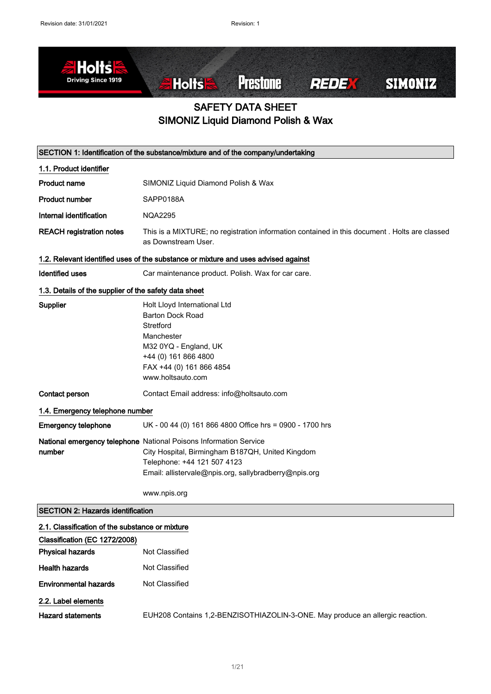

### SAFETY DATA SHEET SIMONIZ Liquid Diamond Polish & Wax

| SECTION 1: Identification of the substance/mixture and of the company/undertaking |                                                                                                                                                                                                               |  |
|-----------------------------------------------------------------------------------|---------------------------------------------------------------------------------------------------------------------------------------------------------------------------------------------------------------|--|
| 1.1. Product identifier                                                           |                                                                                                                                                                                                               |  |
| <b>Product name</b>                                                               | SIMONIZ Liquid Diamond Polish & Wax                                                                                                                                                                           |  |
| <b>Product number</b>                                                             | SAPP0188A                                                                                                                                                                                                     |  |
| Internal identification                                                           | <b>NQA2295</b>                                                                                                                                                                                                |  |
| <b>REACH registration notes</b>                                                   | This is a MIXTURE; no registration information contained in this document . Holts are classed<br>as Downstream User.                                                                                          |  |
|                                                                                   | 1.2. Relevant identified uses of the substance or mixture and uses advised against                                                                                                                            |  |
| <b>Identified uses</b>                                                            | Car maintenance product. Polish. Wax for car care.                                                                                                                                                            |  |
| 1.3. Details of the supplier of the safety data sheet                             |                                                                                                                                                                                                               |  |
| <b>Supplier</b>                                                                   | Holt Lloyd International Ltd<br><b>Barton Dock Road</b><br>Stretford<br>Manchester<br>M32 0YQ - England, UK<br>+44 (0) 161 866 4800<br>FAX +44 (0) 161 866 4854<br>www.holtsauto.com                          |  |
| Contact person                                                                    | Contact Email address: info@holtsauto.com                                                                                                                                                                     |  |
| 1.4. Emergency telephone number                                                   |                                                                                                                                                                                                               |  |
| <b>Emergency telephone</b>                                                        | UK - 00 44 (0) 161 866 4800 Office hrs = 0900 - 1700 hrs                                                                                                                                                      |  |
| number                                                                            | National emergency telephone National Poisons Information Service<br>City Hospital, Birmingham B187QH, United Kingdom<br>Telephone: +44 121 507 4123<br>Email: allistervale@npis.org, sallybradberry@npis.org |  |
|                                                                                   | www.npis.org                                                                                                                                                                                                  |  |
| <b>SECTION 2: Hazards identification</b>                                          |                                                                                                                                                                                                               |  |
| 2.1. Classification of the substance or mixture                                   |                                                                                                                                                                                                               |  |
| Classification (EC 1272/2008)                                                     |                                                                                                                                                                                                               |  |
| <b>Physical hazards</b>                                                           | Not Classified                                                                                                                                                                                                |  |
| <b>Health hazards</b>                                                             | Not Classified                                                                                                                                                                                                |  |
| <b>Environmental hazards</b>                                                      | Not Classified                                                                                                                                                                                                |  |
| 2.2. Label elements                                                               |                                                                                                                                                                                                               |  |
| <b>Hazard statements</b>                                                          | EUH208 Contains 1,2-BENZISOTHIAZOLIN-3-ONE. May produce an allergic reaction.                                                                                                                                 |  |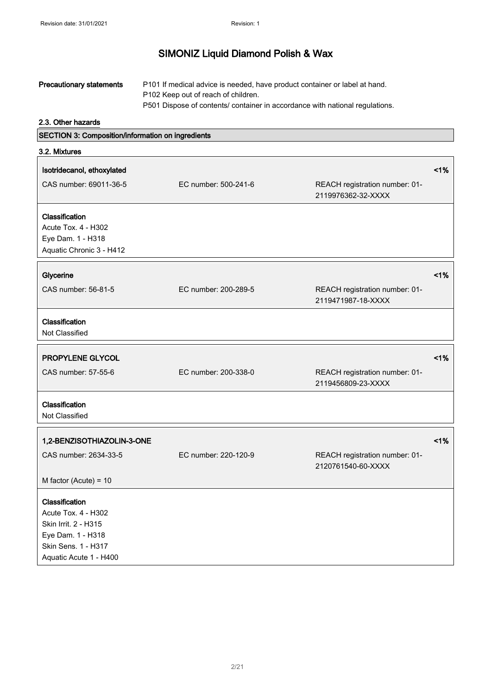| <b>Precautionary statements</b> | P101 If medical advice is needed, have product container or label at hand.   |
|---------------------------------|------------------------------------------------------------------------------|
|                                 | P <sub>102</sub> Keep out of reach of children.                              |
|                                 | P501 Dispose of contents/ container in accordance with national regulations. |

2.3. Other hazards

SECTION 3: Composition/information on ingredients

| 3.2. Mixtures                                                                                                                              |                      |                                                      |    |
|--------------------------------------------------------------------------------------------------------------------------------------------|----------------------|------------------------------------------------------|----|
| Isotridecanol, ethoxylated<br>CAS number: 69011-36-5                                                                                       | EC number: 500-241-6 | REACH registration number: 01-<br>2119976362-32-XXXX | 1% |
| Classification<br>Acute Tox. 4 - H302<br>Eye Dam. 1 - H318<br>Aquatic Chronic 3 - H412                                                     |                      |                                                      |    |
| Glycerine                                                                                                                                  |                      |                                                      | 1% |
| CAS number: 56-81-5                                                                                                                        | EC number: 200-289-5 | REACH registration number: 01-<br>2119471987-18-XXXX |    |
| Classification<br>Not Classified                                                                                                           |                      |                                                      |    |
| PROPYLENE GLYCOL                                                                                                                           |                      |                                                      | 1% |
| CAS number: 57-55-6                                                                                                                        | EC number: 200-338-0 | REACH registration number: 01-<br>2119456809-23-XXXX |    |
| <b>Classification</b><br>Not Classified                                                                                                    |                      |                                                      |    |
| 1,2-BENZISOTHIAZOLIN-3-ONE                                                                                                                 |                      |                                                      | 1% |
| CAS number: 2634-33-5                                                                                                                      | EC number: 220-120-9 | REACH registration number: 01-<br>2120761540-60-XXXX |    |
| M factor (Acute) = $10$                                                                                                                    |                      |                                                      |    |
| <b>Classification</b><br>Acute Tox. 4 - H302<br>Skin Irrit. 2 - H315<br>Eye Dam. 1 - H318<br>Skin Sens. 1 - H317<br>Aquatic Acute 1 - H400 |                      |                                                      |    |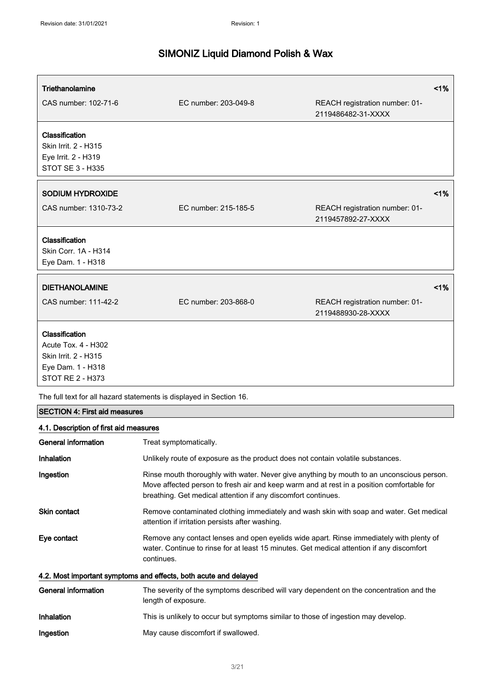| Triethanolamine                                                                                               |                      |                                                      | 1% |
|---------------------------------------------------------------------------------------------------------------|----------------------|------------------------------------------------------|----|
| CAS number: 102-71-6                                                                                          | EC number: 203-049-8 | REACH registration number: 01-<br>2119486482-31-XXXX |    |
| Classification<br>Skin Irrit. 2 - H315<br>Eye Irrit. 2 - H319<br><b>STOT SE 3 - H335</b>                      |                      |                                                      |    |
| <b>SODIUM HYDROXIDE</b>                                                                                       |                      |                                                      | 1% |
| CAS number: 1310-73-2                                                                                         | EC number: 215-185-5 | REACH registration number: 01-<br>2119457892-27-XXXX |    |
| Classification<br>Skin Corr. 1A - H314<br>Eye Dam. 1 - H318                                                   |                      |                                                      |    |
| <b>DIETHANOLAMINE</b>                                                                                         |                      |                                                      | 1% |
| CAS number: 111-42-2                                                                                          | EC number: 203-868-0 | REACH registration number: 01-<br>2119488930-28-XXXX |    |
| Classification<br>Acute Tox. 4 - H302<br>Skin Irrit. 2 - H315<br>Eye Dam. 1 - H318<br><b>STOT RE 2 - H373</b> |                      |                                                      |    |

The full text for all hazard statements is displayed in Section 16.

#### SECTION 4: First aid measures

#### 4.1. Description of first aid measures

| General information | Treat symptomatically.                                                                                                                                                                                                                                  |
|---------------------|---------------------------------------------------------------------------------------------------------------------------------------------------------------------------------------------------------------------------------------------------------|
| Inhalation          | Unlikely route of exposure as the product does not contain volatile substances.                                                                                                                                                                         |
| Ingestion           | Rinse mouth thoroughly with water. Never give anything by mouth to an unconscious person.<br>Move affected person to fresh air and keep warm and at rest in a position comfortable for<br>breathing. Get medical attention if any discomfort continues. |
| <b>Skin contact</b> | Remove contaminated clothing immediately and wash skin with soap and water. Get medical<br>attention if irritation persists after washing.                                                                                                              |
| Eye contact         | Remove any contact lenses and open eyelids wide apart. Rinse immediately with plenty of<br>water. Continue to rinse for at least 15 minutes. Get medical attention if any discomfort<br>continues.                                                      |
|                     | 4.2. Most important symptoms and effects, both acute and delayed                                                                                                                                                                                        |
| General information | The severity of the symptoms described will vary dependent on the concentration and the<br>length of exposure.                                                                                                                                          |

| <b>Inhalation</b> | This is unlikely to occur but symptoms similar to those of ingestion may develop. |
|-------------------|-----------------------------------------------------------------------------------|
|-------------------|-----------------------------------------------------------------------------------|

Ingestion May cause discomfort if swallowed.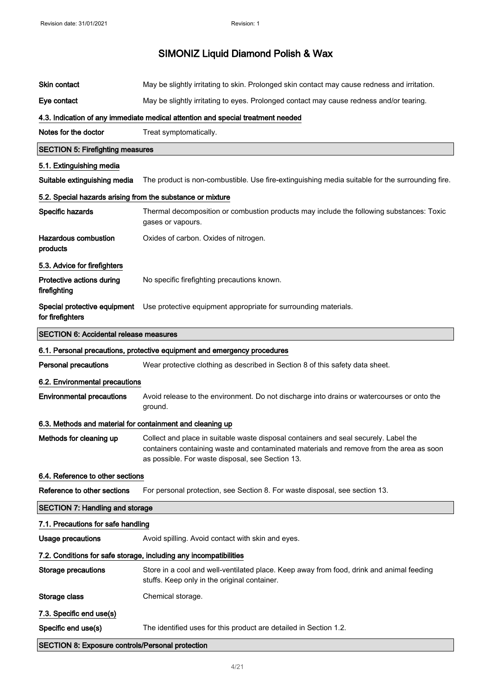| Skin contact                                                      | May be slightly irritating to skin. Prolonged skin contact may cause redness and irritation.                                                                                                                                        |
|-------------------------------------------------------------------|-------------------------------------------------------------------------------------------------------------------------------------------------------------------------------------------------------------------------------------|
| Eye contact                                                       | May be slightly irritating to eyes. Prolonged contact may cause redness and/or tearing.                                                                                                                                             |
|                                                                   | 4.3. Indication of any immediate medical attention and special treatment needed                                                                                                                                                     |
| Notes for the doctor                                              | Treat symptomatically.                                                                                                                                                                                                              |
| <b>SECTION 5: Firefighting measures</b>                           |                                                                                                                                                                                                                                     |
| 5.1. Extinguishing media                                          |                                                                                                                                                                                                                                     |
| Suitable extinguishing media                                      | The product is non-combustible. Use fire-extinguishing media suitable for the surrounding fire.                                                                                                                                     |
| 5.2. Special hazards arising from the substance or mixture        |                                                                                                                                                                                                                                     |
| Specific hazards                                                  | Thermal decomposition or combustion products may include the following substances: Toxic<br>gases or vapours.                                                                                                                       |
| Hazardous combustion<br>products                                  | Oxides of carbon. Oxides of nitrogen.                                                                                                                                                                                               |
| 5.3. Advice for firefighters                                      |                                                                                                                                                                                                                                     |
| Protective actions during<br>firefighting                         | No specific firefighting precautions known.                                                                                                                                                                                         |
| Special protective equipment<br>for firefighters                  | Use protective equipment appropriate for surrounding materials.                                                                                                                                                                     |
| <b>SECTION 6: Accidental release measures</b>                     |                                                                                                                                                                                                                                     |
|                                                                   | 6.1. Personal precautions, protective equipment and emergency procedures                                                                                                                                                            |
| <b>Personal precautions</b>                                       | Wear protective clothing as described in Section 8 of this safety data sheet.                                                                                                                                                       |
| 6.2. Environmental precautions                                    |                                                                                                                                                                                                                                     |
| <b>Environmental precautions</b>                                  | Avoid release to the environment. Do not discharge into drains or watercourses or onto the<br>ground.                                                                                                                               |
| 6.3. Methods and material for containment and cleaning up         |                                                                                                                                                                                                                                     |
| Methods for cleaning up                                           | Collect and place in suitable waste disposal containers and seal securely. Label the<br>containers containing waste and contaminated materials and remove from the area as soon<br>as possible. For waste disposal, see Section 13. |
| 6.4. Reference to other sections                                  |                                                                                                                                                                                                                                     |
| Reference to other sections                                       | For personal protection, see Section 8. For waste disposal, see section 13.                                                                                                                                                         |
| <b>SECTION 7: Handling and storage</b>                            |                                                                                                                                                                                                                                     |
| 7.1. Precautions for safe handling                                |                                                                                                                                                                                                                                     |
| <b>Usage precautions</b>                                          | Avoid spilling. Avoid contact with skin and eyes.                                                                                                                                                                                   |
| 7.2. Conditions for safe storage, including any incompatibilities |                                                                                                                                                                                                                                     |
| <b>Storage precautions</b>                                        | Store in a cool and well-ventilated place. Keep away from food, drink and animal feeding<br>stuffs. Keep only in the original container.                                                                                            |
| Storage class                                                     | Chemical storage.                                                                                                                                                                                                                   |
| 7.3. Specific end use(s)                                          |                                                                                                                                                                                                                                     |
| Specific end use(s)                                               | The identified uses for this product are detailed in Section 1.2.                                                                                                                                                                   |
| <b>SECTION 8: Exposure controls/Personal protection</b>           |                                                                                                                                                                                                                                     |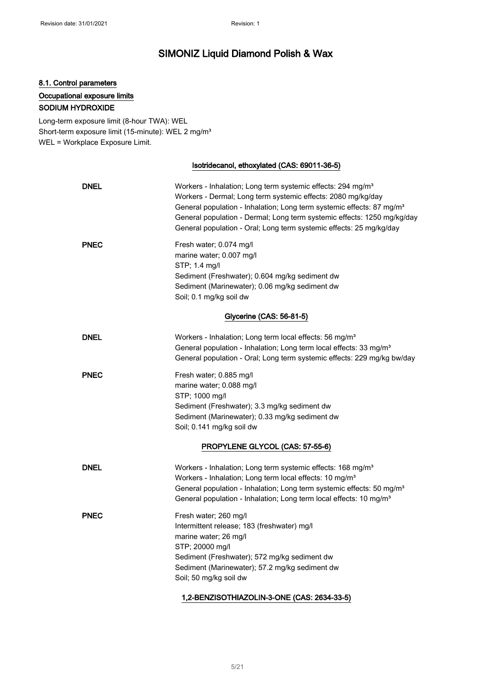### 8.1. Control parameters Occupational exposure limits SODIUM HYDROXIDE

Long-term exposure limit (8-hour TWA): WEL Short-term exposure limit (15-minute): WEL 2 mg/m<sup>3</sup> WEL = Workplace Exposure Limit.

#### Isotridecanol, ethoxylated (CAS: 69011-36-5)

| <b>DNEL</b>              | Workers - Inhalation; Long term systemic effects: 294 mg/m <sup>3</sup><br>Workers - Dermal; Long term systemic effects: 2080 mg/kg/day<br>General population - Inhalation; Long term systemic effects: 87 mg/m <sup>3</sup><br>General population - Dermal; Long term systemic effects: 1250 mg/kg/day<br>General population - Oral; Long term systemic effects: 25 mg/kg/day |  |
|--------------------------|--------------------------------------------------------------------------------------------------------------------------------------------------------------------------------------------------------------------------------------------------------------------------------------------------------------------------------------------------------------------------------|--|
| <b>PNEC</b>              | Fresh water; 0.074 mg/l<br>marine water; 0.007 mg/l<br>STP; 1.4 mg/l<br>Sediment (Freshwater); 0.604 mg/kg sediment dw<br>Sediment (Marinewater); 0.06 mg/kg sediment dw<br>Soil; 0.1 mg/kg soil dw                                                                                                                                                                            |  |
| Glycerine (CAS: 56-81-5) |                                                                                                                                                                                                                                                                                                                                                                                |  |
| <b>DNEL</b>              | Workers - Inhalation; Long term local effects: 56 mg/m <sup>3</sup><br>General population - Inhalation; Long term local effects: 33 mg/m <sup>3</sup><br>General population - Oral; Long term systemic effects: 229 mg/kg bw/day                                                                                                                                               |  |
| <b>PNEC</b>              | Fresh water; 0.885 mg/l<br>marine water; 0.088 mg/l<br>STP; 1000 mg/l<br>Sediment (Freshwater); 3.3 mg/kg sediment dw<br>Sediment (Marinewater); 0.33 mg/kg sediment dw<br>Soil; 0.141 mg/kg soil dw                                                                                                                                                                           |  |
|                          | PROPYLENE GLYCOL (CAS: 57-55-6)                                                                                                                                                                                                                                                                                                                                                |  |
| <b>DNEL</b>              | Workers - Inhalation; Long term systemic effects: 168 mg/m <sup>3</sup><br>Workers - Inhalation; Long term local effects: 10 mg/m <sup>3</sup><br>General population - Inhalation; Long term systemic effects: 50 mg/m <sup>3</sup><br>General population - Inhalation; Long term local effects: 10 mg/m <sup>3</sup>                                                          |  |
| <b>PNEC</b>              | Fresh water; 260 mg/l<br>Intermittent release; 183 (freshwater) mg/l<br>marine water; 26 mg/l<br>STP; 20000 mg/l<br>Sediment (Freshwater); 572 mg/kg sediment dw<br>Sediment (Marinewater); 57.2 mg/kg sediment dw<br>Soil; 50 mg/kg soil dw                                                                                                                                   |  |

#### 1,2-BENZISOTHIAZOLIN-3-ONE (CAS: 2634-33-5)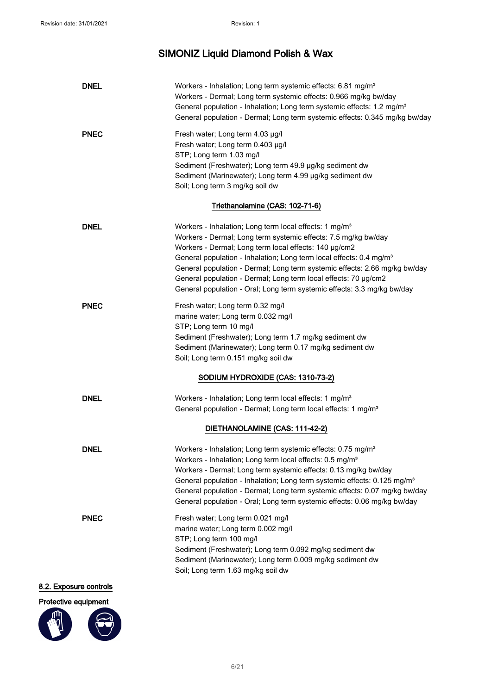| <b>DNEL</b>            | Workers - Inhalation; Long term systemic effects: 6.81 mg/m <sup>3</sup>             |
|------------------------|--------------------------------------------------------------------------------------|
|                        | Workers - Dermal; Long term systemic effects: 0.966 mg/kg bw/day                     |
|                        | General population - Inhalation; Long term systemic effects: 1.2 mg/m <sup>3</sup>   |
|                        | General population - Dermal; Long term systemic effects: 0.345 mg/kg bw/day          |
| <b>PNEC</b>            | Fresh water; Long term 4.03 µg/l                                                     |
|                        | Fresh water; Long term 0.403 µg/l                                                    |
|                        | STP; Long term 1.03 mg/l                                                             |
|                        | Sediment (Freshwater); Long term 49.9 µg/kg sediment dw                              |
|                        | Sediment (Marinewater); Long term 4.99 µg/kg sediment dw                             |
|                        | Soil; Long term 3 mg/kg soil dw                                                      |
|                        | Triethanolamine (CAS: 102-71-6)                                                      |
| <b>DNEL</b>            | Workers - Inhalation; Long term local effects: 1 mg/m <sup>3</sup>                   |
|                        | Workers - Dermal; Long term systemic effects: 7.5 mg/kg bw/day                       |
|                        | Workers - Dermal; Long term local effects: 140 µg/cm2                                |
|                        | General population - Inhalation; Long term local effects: 0.4 mg/m <sup>3</sup>      |
|                        | General population - Dermal; Long term systemic effects: 2.66 mg/kg bw/day           |
|                        | General population - Dermal; Long term local effects: 70 µg/cm2                      |
|                        | General population - Oral; Long term systemic effects: 3.3 mg/kg bw/day              |
| <b>PNEC</b>            | Fresh water; Long term 0.32 mg/l                                                     |
|                        | marine water; Long term 0.032 mg/l                                                   |
|                        | STP; Long term 10 mg/l                                                               |
|                        | Sediment (Freshwater); Long term 1.7 mg/kg sediment dw                               |
|                        | Sediment (Marinewater); Long term 0.17 mg/kg sediment dw                             |
|                        | Soil; Long term 0.151 mg/kg soil dw                                                  |
|                        | SODIUM HYDROXIDE (CAS: 1310-73-2)                                                    |
| <b>DNEL</b>            | Workers - Inhalation; Long term local effects: 1 mg/m <sup>3</sup>                   |
|                        | General population - Dermal; Long term local effects: 1 mg/m <sup>3</sup>            |
|                        | DIETHANOLAMINE (CAS: 111-42-2)                                                       |
| <b>DNEL</b>            | Workers - Inhalation; Long term systemic effects: 0.75 mg/m <sup>3</sup>             |
|                        | Workers - Inhalation; Long term local effects: 0.5 mg/m <sup>3</sup>                 |
|                        | Workers - Dermal; Long term systemic effects: 0.13 mg/kg bw/day                      |
|                        | General population - Inhalation; Long term systemic effects: 0.125 mg/m <sup>3</sup> |
|                        | General population - Dermal; Long term systemic effects: 0.07 mg/kg bw/day           |
|                        | General population - Oral; Long term systemic effects: 0.06 mg/kg bw/day             |
| <b>PNEC</b>            | Fresh water; Long term 0.021 mg/l                                                    |
|                        | marine water; Long term 0.002 mg/l                                                   |
|                        | STP; Long term 100 mg/l                                                              |
|                        | Sediment (Freshwater); Long term 0.092 mg/kg sediment dw                             |
|                        | Sediment (Marinewater); Long term 0.009 mg/kg sediment dw                            |
|                        | Soil; Long term 1.63 mg/kg soil dw                                                   |
| 8.2. Exposure controls |                                                                                      |

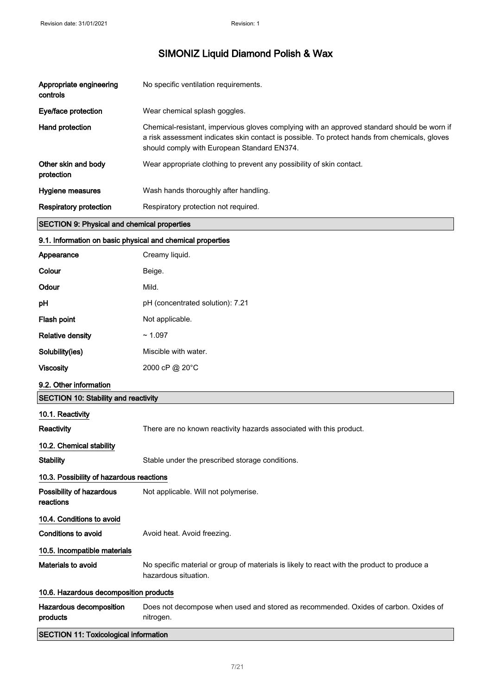| Appropriate engineering<br>controls                | No specific ventilation requirements.                                                                                                                                                                                                       |
|----------------------------------------------------|---------------------------------------------------------------------------------------------------------------------------------------------------------------------------------------------------------------------------------------------|
| Eye/face protection                                | Wear chemical splash goggles.                                                                                                                                                                                                               |
| Hand protection                                    | Chemical-resistant, impervious gloves complying with an approved standard should be worn if<br>a risk assessment indicates skin contact is possible. To protect hands from chemicals, gloves<br>should comply with European Standard EN374. |
| Other skin and body<br>protection                  | Wear appropriate clothing to prevent any possibility of skin contact.                                                                                                                                                                       |
| Hygiene measures                                   | Wash hands thoroughly after handling.                                                                                                                                                                                                       |
| <b>Respiratory protection</b>                      | Respiratory protection not required.                                                                                                                                                                                                        |
| <b>SECTION 9: Physical and chemical properties</b> |                                                                                                                                                                                                                                             |

### 9.1. Information on basic physical and chemical properties

| Appearance              | Creamy liquid.                   |
|-------------------------|----------------------------------|
| Colour                  | Beige.                           |
| Odour                   | Mild.                            |
| pH                      | pH (concentrated solution): 7.21 |
| Flash point             | Not applicable.                  |
| <b>Relative density</b> | ~1.097                           |
| Solubility(ies)         | Miscible with water.             |
| <b>Viscosity</b>        | 2000 cP @ 20°C                   |
|                         |                                  |

#### 9.2. Other information

| <b>SECTION 10: Stability and reactivity</b> |                                                                                                                     |  |
|---------------------------------------------|---------------------------------------------------------------------------------------------------------------------|--|
| 10.1. Reactivity                            |                                                                                                                     |  |
| <b>Reactivity</b>                           | There are no known reactivity hazards associated with this product.                                                 |  |
| 10.2. Chemical stability                    |                                                                                                                     |  |
| <b>Stability</b>                            | Stable under the prescribed storage conditions.                                                                     |  |
| 10.3. Possibility of hazardous reactions    |                                                                                                                     |  |
| Possibility of hazardous<br>reactions       | Not applicable. Will not polymerise.                                                                                |  |
| 10.4. Conditions to avoid                   |                                                                                                                     |  |
| Conditions to avoid                         | Avoid heat. Avoid freezing.                                                                                         |  |
| 10.5. Incompatible materials                |                                                                                                                     |  |
| Materials to avoid                          | No specific material or group of materials is likely to react with the product to produce a<br>hazardous situation. |  |
| 10.6. Hazardous decomposition products      |                                                                                                                     |  |
| Hazardous decomposition<br>products         | Does not decompose when used and stored as recommended. Oxides of carbon. Oxides of<br>nitrogen.                    |  |

### SECTION 11: Toxicological information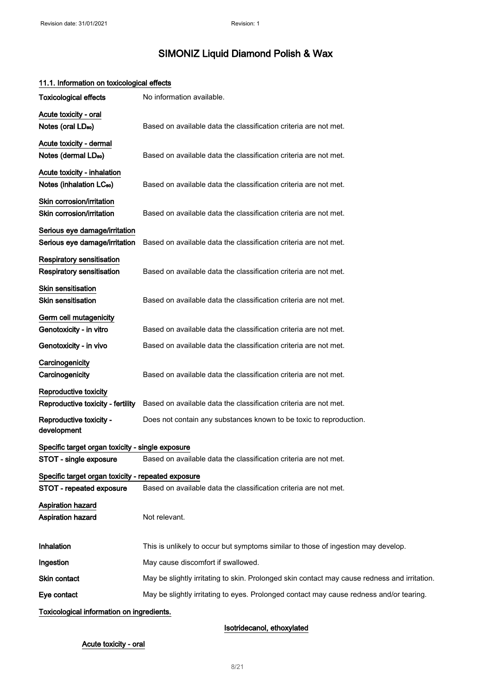| TT.T. Information on toxicological effects                                 |                                                                                              |
|----------------------------------------------------------------------------|----------------------------------------------------------------------------------------------|
| <b>Toxicological effects</b>                                               | No information available.                                                                    |
| Acute toxicity - oral<br>Notes (oral LD <sub>50</sub> )                    | Based on available data the classification criteria are not met.                             |
| Acute toxicity - dermal<br>Notes (dermal LD <sub>50</sub> )                | Based on available data the classification criteria are not met.                             |
| Acute toxicity - inhalation<br>Notes (inhalation LC <sub>50</sub> )        | Based on available data the classification criteria are not met.                             |
| Skin corrosion/irritation<br>Skin corrosion/irritation                     | Based on available data the classification criteria are not met.                             |
| Serious eye damage/irritation<br>Serious eye damage/irritation             | Based on available data the classification criteria are not met.                             |
| Respiratory sensitisation<br>Respiratory sensitisation                     | Based on available data the classification criteria are not met.                             |
| Skin sensitisation<br>Skin sensitisation                                   | Based on available data the classification criteria are not met.                             |
| Germ cell mutagenicity<br>Genotoxicity - in vitro                          | Based on available data the classification criteria are not met.                             |
| Genotoxicity - in vivo                                                     | Based on available data the classification criteria are not met.                             |
| Carcinogenicity<br>Carcinogenicity                                         | Based on available data the classification criteria are not met.                             |
| Reproductive toxicity<br>Reproductive toxicity - fertility                 | Based on available data the classification criteria are not met.                             |
| Reproductive toxicity -<br>development                                     | Does not contain any substances known to be toxic to reproduction.                           |
| Specific target organ toxicity - single exposure<br>STOT - single exposure | Based on available data the classification criteria are not met.                             |
| Specific target organ toxicity - repeated exposure                         |                                                                                              |
| STOT - repeated exposure                                                   | Based on available data the classification criteria are not met.                             |
| <b>Aspiration hazard</b><br><b>Aspiration hazard</b>                       | Not relevant.                                                                                |
| Inhalation                                                                 | This is unlikely to occur but symptoms similar to those of ingestion may develop.            |
| Ingestion                                                                  | May cause discomfort if swallowed.                                                           |
| Skin contact                                                               | May be slightly irritating to skin. Prolonged skin contact may cause redness and irritation. |
| Eye contact                                                                | May be slightly irritating to eyes. Prolonged contact may cause redness and/or tearing.      |
| Toxicological information on ingredients.                                  |                                                                                              |

### 11.1. Information on toxicological effects

Isotridecanol, ethoxylated

#### Acute toxicity - oral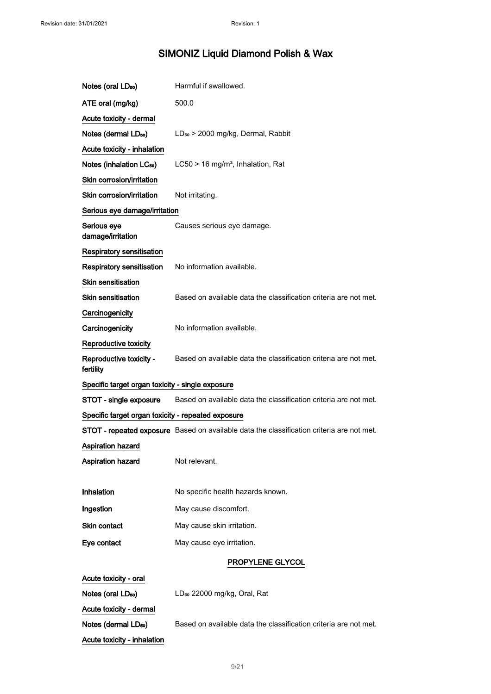| Notes (oral LD <sub>50</sub> )                     | Harmful if swallowed.                                                                     |
|----------------------------------------------------|-------------------------------------------------------------------------------------------|
| ATE oral (mg/kg)                                   | 500.0                                                                                     |
| Acute toxicity - dermal                            |                                                                                           |
| Notes (dermal LD <sub>50</sub> )                   | LD <sub>50</sub> > 2000 mg/kg, Dermal, Rabbit                                             |
| Acute toxicity - inhalation                        |                                                                                           |
| Notes (inhalation LC <sub>50</sub> )               | $LC50 > 16$ mg/m <sup>3</sup> , Inhalation, Rat                                           |
| Skin corrosion/irritation                          |                                                                                           |
| Skin corrosion/irritation                          | Not irritating.                                                                           |
| Serious eye damage/irritation                      |                                                                                           |
| Serious eye<br>damage/irritation                   | Causes serious eye damage.                                                                |
| <b>Respiratory sensitisation</b>                   |                                                                                           |
| Respiratory sensitisation                          | No information available.                                                                 |
| Skin sensitisation                                 |                                                                                           |
| Skin sensitisation                                 | Based on available data the classification criteria are not met.                          |
| Carcinogenicity                                    |                                                                                           |
| Carcinogenicity                                    | No information available.                                                                 |
| <b>Reproductive toxicity</b>                       |                                                                                           |
| Reproductive toxicity -<br>fertility               | Based on available data the classification criteria are not met.                          |
| Specific target organ toxicity - single exposure   |                                                                                           |
| STOT - single exposure                             | Based on available data the classification criteria are not met.                          |
| Specific target organ toxicity - repeated exposure |                                                                                           |
|                                                    | STOT - repeated exposure Based on available data the classification criteria are not met. |
| <b>Aspiration hazard</b>                           |                                                                                           |
| <b>Aspiration hazard</b>                           | Not relevant.                                                                             |
|                                                    |                                                                                           |
| Inhalation                                         | No specific health hazards known.                                                         |
| Ingestion                                          | May cause discomfort.                                                                     |
| Skin contact                                       | May cause skin irritation.                                                                |
| Eye contact                                        | May cause eye irritation.                                                                 |
|                                                    | PROPYLENE GLYCOL                                                                          |
| Acute toxicity - oral                              |                                                                                           |
| Notes (oral LD <sub>50</sub> )                     | LD <sub>50</sub> 22000 mg/kg, Oral, Rat                                                   |
| Acute toxicity - dermal                            |                                                                                           |
| Notes (dermal LD <sub>50</sub> )                   | Based on available data the classification criteria are not met.                          |
| Acute toxicity - inhalation                        |                                                                                           |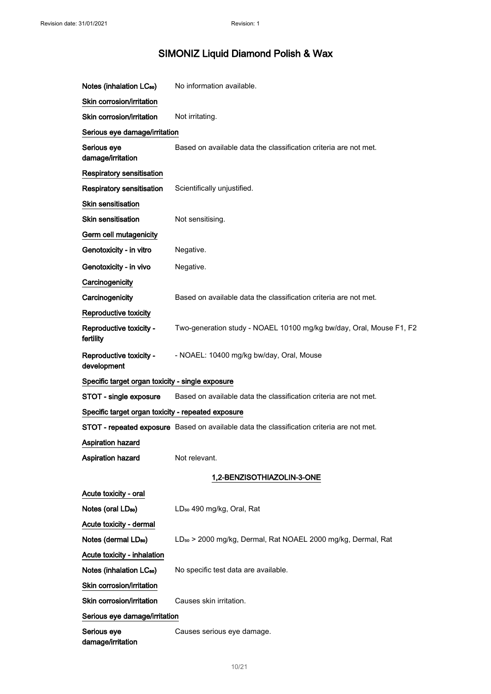| Notes (inhalation LC <sub>50</sub> )               | No information available.                                                                        |  |
|----------------------------------------------------|--------------------------------------------------------------------------------------------------|--|
| Skin corrosion/irritation                          |                                                                                                  |  |
| Skin corrosion/irritation                          | Not irritating.                                                                                  |  |
| Serious eye damage/irritation                      |                                                                                                  |  |
| Serious eye<br>damage/irritation                   | Based on available data the classification criteria are not met.                                 |  |
| Respiratory sensitisation                          |                                                                                                  |  |
| <b>Respiratory sensitisation</b>                   | Scientifically unjustified.                                                                      |  |
| Skin sensitisation                                 |                                                                                                  |  |
| <b>Skin sensitisation</b>                          | Not sensitising.                                                                                 |  |
| Germ cell mutagenicity                             |                                                                                                  |  |
| Genotoxicity - in vitro                            | Negative.                                                                                        |  |
| Genotoxicity - in vivo                             | Negative.                                                                                        |  |
| Carcinogenicity                                    |                                                                                                  |  |
| Carcinogenicity                                    | Based on available data the classification criteria are not met.                                 |  |
| Reproductive toxicity                              |                                                                                                  |  |
| Reproductive toxicity -<br>fertility               | Two-generation study - NOAEL 10100 mg/kg bw/day, Oral, Mouse F1, F2                              |  |
| Reproductive toxicity -<br>development             | - NOAEL: 10400 mg/kg bw/day, Oral, Mouse                                                         |  |
| Specific target organ toxicity - single exposure   |                                                                                                  |  |
| STOT - single exposure                             | Based on available data the classification criteria are not met.                                 |  |
| Specific target organ toxicity - repeated exposure |                                                                                                  |  |
|                                                    | <b>STOT - repeated exposure</b> Based on available data the classification criteria are not met. |  |
| <b>Aspiration hazard</b>                           |                                                                                                  |  |
| Aspiration hazard                                  | Not relevant.                                                                                    |  |
|                                                    | 1,2-BENZISOTHIAZOLIN-3-ONE                                                                       |  |
| Acute toxicity - oral                              |                                                                                                  |  |
| Notes (oral LD <sub>50</sub> )                     | LD <sub>50</sub> 490 mg/kg, Oral, Rat                                                            |  |
| Acute toxicity - dermal                            |                                                                                                  |  |
| Notes (dermal LD <sub>50</sub> )                   | LD <sub>50</sub> > 2000 mg/kg, Dermal, Rat NOAEL 2000 mg/kg, Dermal, Rat                         |  |
| Acute toxicity - inhalation                        |                                                                                                  |  |
| Notes (inhalation LC <sub>50</sub> )               | No specific test data are available.                                                             |  |
| Skin corrosion/irritation                          |                                                                                                  |  |
| Skin corrosion/irritation                          | Causes skin irritation.                                                                          |  |
| Serious eye damage/irritation                      |                                                                                                  |  |
| Serious eye<br>damage/irritation                   | Causes serious eye damage.                                                                       |  |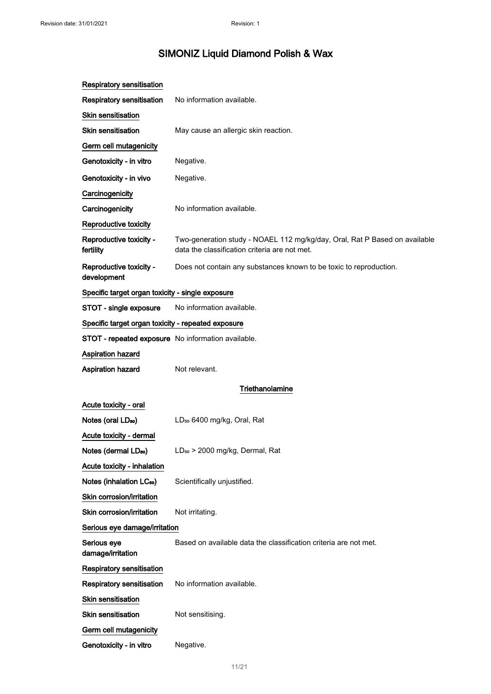| <b>Respiratory sensitisation</b>                   |                                                                                                                             |  |
|----------------------------------------------------|-----------------------------------------------------------------------------------------------------------------------------|--|
| <b>Respiratory sensitisation</b>                   | No information available.                                                                                                   |  |
| Skin sensitisation                                 |                                                                                                                             |  |
| <b>Skin sensitisation</b>                          | May cause an allergic skin reaction.                                                                                        |  |
| Germ cell mutagenicity                             |                                                                                                                             |  |
| Genotoxicity - in vitro                            | Negative.                                                                                                                   |  |
| Genotoxicity - in vivo                             | Negative.                                                                                                                   |  |
| Carcinogenicity                                    |                                                                                                                             |  |
| Carcinogenicity                                    | No information available.                                                                                                   |  |
| Reproductive toxicity                              |                                                                                                                             |  |
| Reproductive toxicity -<br>fertility               | Two-generation study - NOAEL 112 mg/kg/day, Oral, Rat P Based on available<br>data the classification criteria are not met. |  |
| Reproductive toxicity -<br>development             | Does not contain any substances known to be toxic to reproduction.                                                          |  |
| Specific target organ toxicity - single exposure   |                                                                                                                             |  |
| STOT - single exposure                             | No information available.                                                                                                   |  |
| Specific target organ toxicity - repeated exposure |                                                                                                                             |  |
| STOT - repeated exposure No information available. |                                                                                                                             |  |
| Aspiration hazard                                  |                                                                                                                             |  |
| Aspiration hazard                                  | Not relevant.                                                                                                               |  |
|                                                    | Triethanolamine                                                                                                             |  |
| Acute toxicity - oral                              |                                                                                                                             |  |
| Notes (oral LD <sub>50</sub> )                     | LD <sub>50</sub> 6400 mg/kg, Oral, Rat                                                                                      |  |
| Acute toxicity - dermal                            |                                                                                                                             |  |
| Notes (dermal LD <sub>50</sub> )                   | LD <sub>50</sub> > 2000 mg/kg, Dermal, Rat                                                                                  |  |
| Acute toxicity - inhalation                        |                                                                                                                             |  |
| Notes (inhalation LC <sub>50</sub> )               | Scientifically unjustified.                                                                                                 |  |
| Skin corrosion/irritation                          |                                                                                                                             |  |
| Skin corrosion/irritation                          | Not irritating.                                                                                                             |  |
| Serious eye damage/irritation                      |                                                                                                                             |  |
| Serious eye<br>damage/irritation                   | Based on available data the classification criteria are not met.                                                            |  |
| <b>Respiratory sensitisation</b>                   |                                                                                                                             |  |
| Respiratory sensitisation                          | No information available.                                                                                                   |  |
| <b>Skin sensitisation</b>                          |                                                                                                                             |  |
| <b>Skin sensitisation</b>                          | Not sensitising.                                                                                                            |  |
| Germ cell mutagenicity                             |                                                                                                                             |  |
| Genotoxicity - in vitro                            | Negative.                                                                                                                   |  |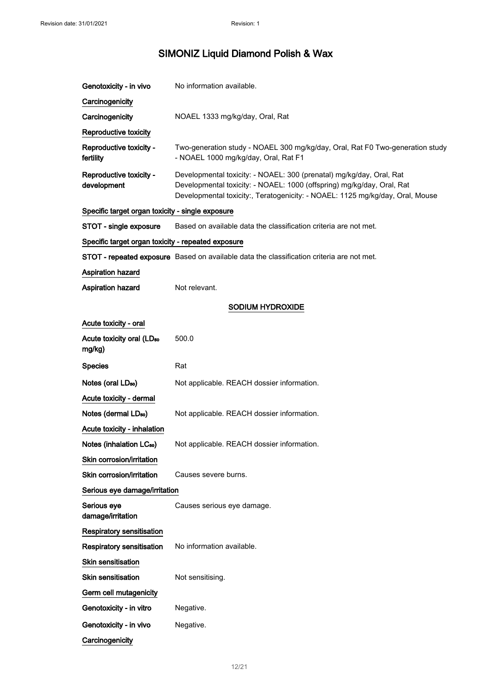| Genotoxicity - in vivo                                                                           | No information available.                                                                                                                                                                                                       |  |  |
|--------------------------------------------------------------------------------------------------|---------------------------------------------------------------------------------------------------------------------------------------------------------------------------------------------------------------------------------|--|--|
| Carcinogenicity                                                                                  |                                                                                                                                                                                                                                 |  |  |
| Carcinogenicity                                                                                  | NOAEL 1333 mg/kg/day, Oral, Rat                                                                                                                                                                                                 |  |  |
| Reproductive toxicity                                                                            |                                                                                                                                                                                                                                 |  |  |
| Reproductive toxicity -<br>fertility                                                             | Two-generation study - NOAEL 300 mg/kg/day, Oral, Rat F0 Two-generation study<br>- NOAEL 1000 mg/kg/day, Oral, Rat F1                                                                                                           |  |  |
| Reproductive toxicity -<br>development                                                           | Developmental toxicity: - NOAEL: 300 (prenatal) mg/kg/day, Oral, Rat<br>Developmental toxicity: - NOAEL: 1000 (offspring) mg/kg/day, Oral, Rat<br>Developmental toxicity:, Teratogenicity: - NOAEL: 1125 mg/kg/day, Oral, Mouse |  |  |
| Specific target organ toxicity - single exposure                                                 |                                                                                                                                                                                                                                 |  |  |
| STOT - single exposure                                                                           | Based on available data the classification criteria are not met.                                                                                                                                                                |  |  |
| Specific target organ toxicity - repeated exposure                                               |                                                                                                                                                                                                                                 |  |  |
| <b>STOT - repeated exposure</b> Based on available data the classification criteria are not met. |                                                                                                                                                                                                                                 |  |  |
| <b>Aspiration hazard</b>                                                                         |                                                                                                                                                                                                                                 |  |  |
| Aspiration hazard                                                                                | Not relevant.                                                                                                                                                                                                                   |  |  |
| SODIUM HYDROXIDE                                                                                 |                                                                                                                                                                                                                                 |  |  |
| Acute toxicity - oral                                                                            |                                                                                                                                                                                                                                 |  |  |
| Acute toxicity oral (LD <sub>50</sub><br>mg/kg)                                                  | 500.0                                                                                                                                                                                                                           |  |  |
| <b>Species</b>                                                                                   | Rat                                                                                                                                                                                                                             |  |  |
| Notes (oral LD <sub>50</sub> )                                                                   | Not applicable. REACH dossier information.                                                                                                                                                                                      |  |  |
| Acute toxicity - dermal                                                                          |                                                                                                                                                                                                                                 |  |  |
| Notes (dermal LD <sub>50</sub> )                                                                 | Not applicable. REACH dossier information.                                                                                                                                                                                      |  |  |
| Acute toxicity - inhalation                                                                      |                                                                                                                                                                                                                                 |  |  |
| Notes (inhalation LC <sub>50</sub> )                                                             | Not applicable. REACH dossier information.                                                                                                                                                                                      |  |  |
| Skin corrosion/irritation                                                                        |                                                                                                                                                                                                                                 |  |  |
| Skin corrosion/irritation                                                                        | Causes severe burns.                                                                                                                                                                                                            |  |  |
| Serious eye damage/irritation                                                                    |                                                                                                                                                                                                                                 |  |  |
| Serious eye<br>damage/irritation                                                                 | Causes serious eye damage.                                                                                                                                                                                                      |  |  |
| <b>Respiratory sensitisation</b>                                                                 |                                                                                                                                                                                                                                 |  |  |
| <b>Respiratory sensitisation</b>                                                                 | No information available.                                                                                                                                                                                                       |  |  |
| <b>Skin sensitisation</b>                                                                        |                                                                                                                                                                                                                                 |  |  |
| <b>Skin sensitisation</b>                                                                        | Not sensitising.                                                                                                                                                                                                                |  |  |
| Germ cell mutagenicity                                                                           |                                                                                                                                                                                                                                 |  |  |
| Genotoxicity - in vitro                                                                          | Negative.                                                                                                                                                                                                                       |  |  |
| Genotoxicity - in vivo                                                                           | Negative.                                                                                                                                                                                                                       |  |  |
| Carcinogenicity                                                                                  |                                                                                                                                                                                                                                 |  |  |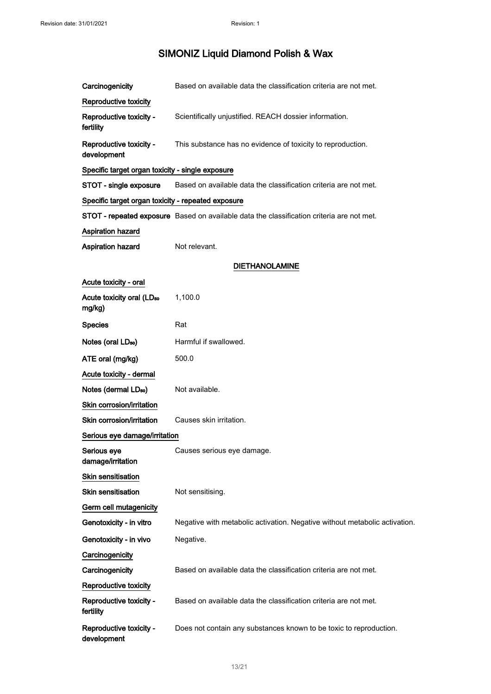| Carcinogenicity                                    | Based on available data the classification criteria are not met.                          |  |
|----------------------------------------------------|-------------------------------------------------------------------------------------------|--|
| Reproductive toxicity                              |                                                                                           |  |
| Reproductive toxicity -<br>fertility               | Scientifically unjustified. REACH dossier information.                                    |  |
| Reproductive toxicity -<br>development             | This substance has no evidence of toxicity to reproduction.                               |  |
| Specific target organ toxicity - single exposure   |                                                                                           |  |
| STOT - single exposure                             | Based on available data the classification criteria are not met.                          |  |
| Specific target organ toxicity - repeated exposure |                                                                                           |  |
|                                                    | STOT - repeated exposure Based on available data the classification criteria are not met. |  |
| Aspiration hazard                                  |                                                                                           |  |
| Aspiration hazard                                  | Not relevant.                                                                             |  |
|                                                    | <b>DIETHANOLAMINE</b>                                                                     |  |
| Acute toxicity - oral                              |                                                                                           |  |
| Acute toxicity oral (LD <sub>50</sub><br>mg/kg)    | 1,100.0                                                                                   |  |
| <b>Species</b>                                     | Rat                                                                                       |  |
| Notes (oral LD <sub>50</sub> )                     | Harmful if swallowed.                                                                     |  |
| ATE oral (mg/kg)                                   | 500.0                                                                                     |  |
| Acute toxicity - dermal                            |                                                                                           |  |
| Notes (dermal LD <sub>50</sub> )                   | Not available.                                                                            |  |
| Skin corrosion/irritation                          |                                                                                           |  |
| Skin corrosion/irritation                          | Causes skin irritation.                                                                   |  |
| Serious eye damage/irritation                      |                                                                                           |  |
| Serious eye<br>damage/irritation                   | Causes serious eye damage.                                                                |  |
| <b>Skin sensitisation</b>                          |                                                                                           |  |
| Skin sensitisation                                 | Not sensitising.                                                                          |  |
| Germ cell mutagenicity                             |                                                                                           |  |
| Genotoxicity - in vitro                            | Negative with metabolic activation. Negative without metabolic activation.                |  |
| Genotoxicity - in vivo                             | Negative.                                                                                 |  |
| Carcinogenicity                                    |                                                                                           |  |
| Carcinogenicity                                    | Based on available data the classification criteria are not met.                          |  |
| Reproductive toxicity                              |                                                                                           |  |
| Reproductive toxicity -<br>fertility               | Based on available data the classification criteria are not met.                          |  |
| Reproductive toxicity -<br>development             | Does not contain any substances known to be toxic to reproduction.                        |  |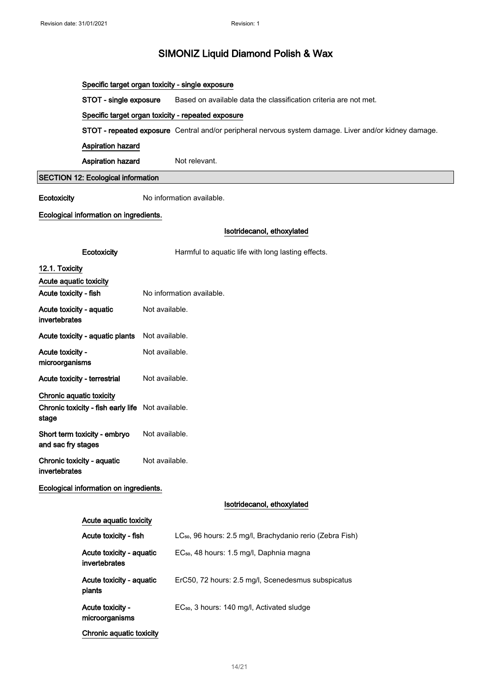|                                             | Specific target organ toxicity - single exposure   |                |                                                                                                       |
|---------------------------------------------|----------------------------------------------------|----------------|-------------------------------------------------------------------------------------------------------|
|                                             | STOT - single exposure                             |                | Based on available data the classification criteria are not met.                                      |
|                                             | Specific target organ toxicity - repeated exposure |                |                                                                                                       |
|                                             |                                                    |                | STOT - repeated exposure Central and/or peripheral nervous system damage. Liver and/or kidney damage. |
|                                             | Aspiration hazard                                  |                |                                                                                                       |
|                                             | Aspiration hazard                                  |                | Not relevant.                                                                                         |
|                                             | <b>SECTION 12: Ecological information</b>          |                |                                                                                                       |
| Ecotoxicity                                 | No information available.                          |                |                                                                                                       |
|                                             | Ecological information on ingredients.             |                |                                                                                                       |
|                                             |                                                    |                | Isotridecanol, ethoxylated                                                                            |
|                                             | Ecotoxicity                                        |                | Harmful to aquatic life with long lasting effects.                                                    |
| 12.1. Toxicity                              |                                                    |                |                                                                                                       |
| Acute aquatic toxicity                      |                                                    |                |                                                                                                       |
| Acute toxicity - fish                       |                                                    |                | No information available.                                                                             |
| Acute toxicity - aquatic<br>invertebrates   |                                                    | Not available. |                                                                                                       |
|                                             | Acute toxicity - aquatic plants                    | Not available. |                                                                                                       |
| Acute toxicity -<br>microorganisms          |                                                    | Not available. |                                                                                                       |
|                                             | Not available.<br>Acute toxicity - terrestrial     |                |                                                                                                       |
| Chronic aquatic toxicity                    |                                                    |                |                                                                                                       |
| stage                                       | Chronic toxicity - fish early life Not available.  |                |                                                                                                       |
| and sac fry stages                          | Short term toxicity - embryo                       | Not available. |                                                                                                       |
| Chronic toxicity - aquatic<br>invertebrates |                                                    | Not available. |                                                                                                       |
|                                             | Ecological information on ingredients.             |                |                                                                                                       |
|                                             |                                                    |                | Isotridecanol, ethoxylated                                                                            |
| Acute aquatic toxicity                      |                                                    |                |                                                                                                       |
|                                             | Acute toxicity - fish                              |                | LC <sub>50</sub> , 96 hours: 2.5 mg/l, Brachydanio rerio (Zebra Fish)                                 |
| Acute toxicity - aquatic<br>invertebrates   |                                                    |                | EC <sub>50</sub> , 48 hours: 1.5 mg/l, Daphnia magna                                                  |
|                                             | Acute toxicity - aquatic<br>plants                 |                | ErC50, 72 hours: 2.5 mg/l, Scenedesmus subspicatus                                                    |
|                                             | Acute toxicity -<br>microorganisms                 |                | EC <sub>50</sub> , 3 hours: 140 mg/l, Activated sludge                                                |
|                                             | Chronic aquatic toxicity                           |                |                                                                                                       |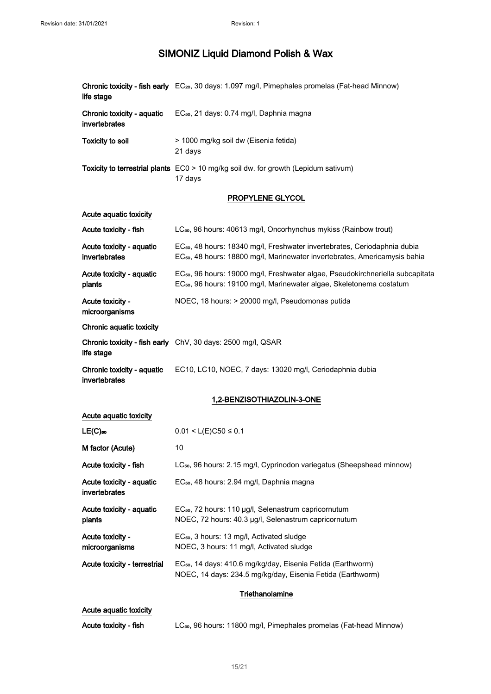| life stage                                  | Chronic toxicity - fish early EC <sub>20</sub> , 30 days: 1.097 mg/l, Pimephales promelas (Fat-head Minnow)                                                                     |  |
|---------------------------------------------|---------------------------------------------------------------------------------------------------------------------------------------------------------------------------------|--|
| Chronic toxicity - aquatic<br>invertebrates | EC <sub>50</sub> , 21 days: 0.74 mg/l, Daphnia magna                                                                                                                            |  |
| <b>Toxicity to soil</b>                     | > 1000 mg/kg soil dw (Eisenia fetida)<br>21 days                                                                                                                                |  |
|                                             | Toxicity to terrestrial plants EC0 > 10 mg/kg soil dw. for growth (Lepidum sativum)<br>17 days                                                                                  |  |
|                                             | PROPYLENE GLYCOL                                                                                                                                                                |  |
| Acute aquatic toxicity                      |                                                                                                                                                                                 |  |
| Acute toxicity - fish                       | LC <sub>50</sub> , 96 hours: 40613 mg/l, Oncorhynchus mykiss (Rainbow trout)                                                                                                    |  |
| Acute toxicity - aquatic<br>invertebrates   | EC <sub>50</sub> , 48 hours: 18340 mg/l, Freshwater invertebrates, Ceriodaphnia dubia<br>EC <sub>50</sub> , 48 hours: 18800 mg/l, Marinewater invertebrates, Americamysis bahia |  |
| Acute toxicity - aquatic<br>plants          | EC <sub>50</sub> , 96 hours: 19000 mg/l, Freshwater algae, Pseudokirchneriella subcapitata<br>EC <sub>50</sub> , 96 hours: 19100 mg/l, Marinewater algae, Skeletonema costatum  |  |
| Acute toxicity -<br>microorganisms          | NOEC, 18 hours: > 20000 mg/l, Pseudomonas putida                                                                                                                                |  |
| Chronic aquatic toxicity                    |                                                                                                                                                                                 |  |
| life stage                                  | Chronic toxicity - fish early ChV, 30 days: 2500 mg/l, QSAR                                                                                                                     |  |
| Chronic toxicity - aquatic<br>invertebrates | EC10, LC10, NOEC, 7 days: 13020 mg/l, Ceriodaphnia dubia                                                                                                                        |  |
|                                             | 1,2-BENZISOTHIAZOLIN-3-ONE                                                                                                                                                      |  |
| Acute aquatic toxicity                      |                                                                                                                                                                                 |  |
| $LE(C)$ <sub>50</sub>                       | $0.01 < L(E)C50 \le 0.1$                                                                                                                                                        |  |
| M factor (Acute)                            | 10                                                                                                                                                                              |  |
| Acute toxicity - fish                       | LC <sub>50</sub> , 96 hours: 2.15 mg/l, Cyprinodon variegatus (Sheepshead minnow)                                                                                               |  |
| Acute toxicity - aquatic<br>invertebrates   | EC <sub>50</sub> , 48 hours: 2.94 mg/l, Daphnia magna                                                                                                                           |  |
| Acute toxicity - aquatic<br>plants          | EC <sub>50</sub> , 72 hours: 110 µg/l, Selenastrum capricornutum<br>NOEC, 72 hours: 40.3 µg/l, Selenastrum capricornutum                                                        |  |
| Acute toxicity -<br>microorganisms          | EC <sub>50</sub> , 3 hours: 13 mg/l, Activated sludge<br>NOEC, 3 hours: 11 mg/l, Activated sludge                                                                               |  |
| Acute toxicity - terrestrial                | EC <sub>50</sub> , 14 days: 410.6 mg/kg/day, Eisenia Fetida (Earthworm)<br>NOEC, 14 days: 234.5 mg/kg/day, Eisenia Fetida (Earthworm)                                           |  |
|                                             | Triethanolamine                                                                                                                                                                 |  |
| Acute aquatic toxicity                      |                                                                                                                                                                                 |  |
|                                             |                                                                                                                                                                                 |  |

Acute toxicity - fish LC<sub>50</sub>, 96 hours: 11800 mg/l, Pimephales promelas (Fat-head Minnow)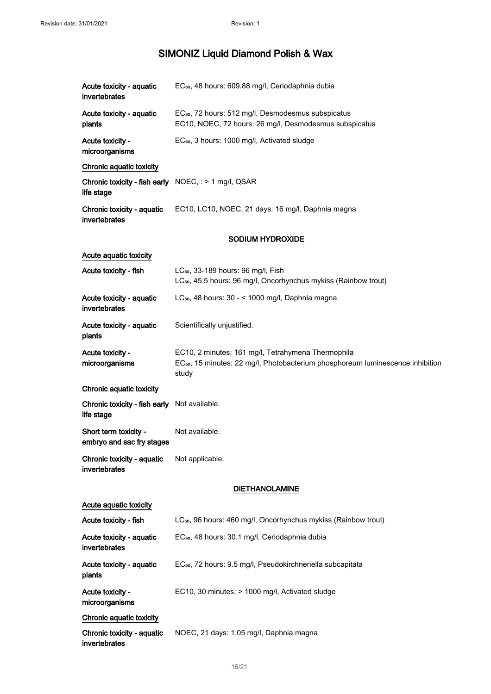| Acute toxicity - aquatic<br>invertebrates                             | EC <sub>50</sub> , 48 hours: 609.88 mg/l, Ceriodaphnia dubia                                                                                              |  |
|-----------------------------------------------------------------------|-----------------------------------------------------------------------------------------------------------------------------------------------------------|--|
| Acute toxicity - aquatic<br>plants                                    | EC <sub>50</sub> , 72 hours: 512 mg/l, Desmodesmus subspicatus<br>EC10, NOEC, 72 hours: 26 mg/l, Desmodesmus subspicatus                                  |  |
| Acute toxicity -<br>microorganisms                                    | EC <sub>50</sub> , 3 hours: 1000 mg/l, Activated sludge                                                                                                   |  |
| Chronic aquatic toxicity                                              |                                                                                                                                                           |  |
| Chronic toxicity - fish early $NOEC$ , : > 1 mg/l, QSAR<br>life stage |                                                                                                                                                           |  |
| Chronic toxicity - aquatic<br>invertebrates                           | EC10, LC10, NOEC, 21 days: 16 mg/l, Daphnia magna                                                                                                         |  |
|                                                                       | <b>SODIUM HYDROXIDE</b>                                                                                                                                   |  |
| Acute aquatic toxicity                                                |                                                                                                                                                           |  |
| Acute toxicity - fish                                                 | LC <sub>50</sub> , 33-189 hours: 96 mg/l, Fish<br>LC <sub>50</sub> , 45.5 hours: 96 mg/l, Oncorhynchus mykiss (Rainbow trout)                             |  |
| Acute toxicity - aquatic<br>invertebrates                             | LC <sub>50</sub> , 48 hours: 30 - < 1000 mg/l, Daphnia magna                                                                                              |  |
| Acute toxicity - aquatic<br>plants                                    | Scientifically unjustified.                                                                                                                               |  |
| Acute toxicity -<br>microorganisms                                    | EC10, 2 minutes: 161 mg/l, Tetrahymena Thermophila<br>EC <sub>50</sub> , 15 minutes: 22 mg/l, Photobacterium phosphoreum luminescence inhibition<br>study |  |
| Chronic aquatic toxicity                                              |                                                                                                                                                           |  |
| Chronic toxicity - fish early Not available.<br>life stage            |                                                                                                                                                           |  |
| Short term toxicity -<br>embryo and sac fry stages                    | Not available.                                                                                                                                            |  |
| Chronic toxicity - aquatic<br>invertebrates                           | Not applicable.                                                                                                                                           |  |
|                                                                       | <b>DIETHANOLAMINE</b>                                                                                                                                     |  |
| Acute aquatic toxicity                                                |                                                                                                                                                           |  |
| Acute toxicity - fish                                                 | LC <sub>50</sub> , 96 hours: 460 mg/l, Oncorhynchus mykiss (Rainbow trout)                                                                                |  |
| Acute toxicity - aquatic<br>invertebrates                             | EC <sub>50</sub> , 48 hours: 30.1 mg/l, Ceriodaphnia dubia                                                                                                |  |
| Acute toxicity - aquatic<br>plants                                    | EC <sub>50</sub> , 72 hours: 9.5 mg/l, Pseudokirchneriella subcapitata                                                                                    |  |
| Acute toxicity -<br>microorganisms                                    | EC10, 30 minutes: > 1000 mg/l, Activated sludge                                                                                                           |  |
| Chronic aquatic toxicity                                              |                                                                                                                                                           |  |
| Chronic toxicity - aquatic<br>invertebrates                           | NOEC, 21 days: 1.05 mg/l, Daphnia magna                                                                                                                   |  |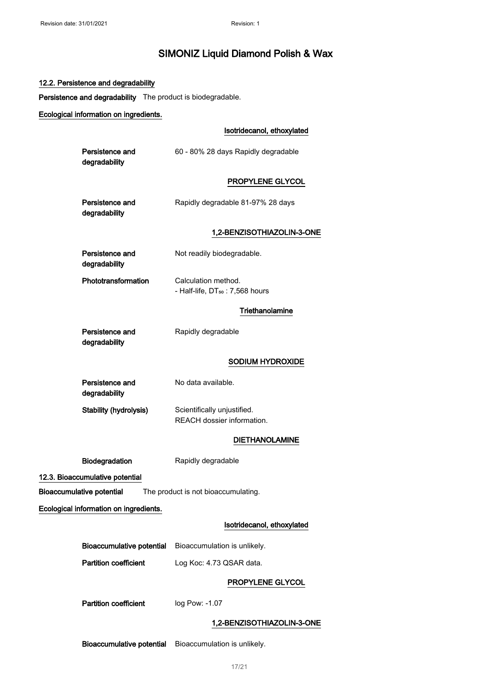#### 12.2. Persistence and degradability

Persistence and degradability The product is biodegradable.

#### Ecological information on ingredients.

#### Isotridecanol, ethoxylated

| Persistence and | 60 - 80% 28 days Rapidly degradable |
|-----------------|-------------------------------------|
| degradability   |                                     |

#### PROPYLENE GLYCOL

| Persistence and | Rapidly degradable 81-97% 28 days |
|-----------------|-----------------------------------|
| degradability   |                                   |

#### 1,2-BENZISOTHIAZOLIN-3-ONE

| Persistence and<br>degradability | Not readily biodegradable.                                         |
|----------------------------------|--------------------------------------------------------------------|
| Phototransformation              | Calculation method.<br>- Half-life, DT <sub>50</sub> : 7,568 hours |

#### **Triethanolamine**

| Persistence and |  |
|-----------------|--|
| degradability   |  |

### Rapidly degradable

#### SODIUM HYDROXIDE

| Persistence and        | No data available.          |
|------------------------|-----------------------------|
| degradability          |                             |
| Stability (hydrolysis) | Scientifically unjustified. |
|                        | REACH dossier information.  |

#### DIETHANOLAMINE

Biodegradation Rapidly degradable

12.3. Bioaccumulative potential

Bioaccumulative potential The product is not bioaccumulating.

Ecological information on ingredients.

#### Isotridecanol, ethoxylated

| Bioaccumulative potential    | Bioaccumulation is unlikely. |
|------------------------------|------------------------------|
| <b>Partition coefficient</b> | Log Koc: 4.73 QSAR data.     |

#### PROPYLENE GLYCOL

Partition coefficient log Pow: -1.07

#### 1,2-BENZISOTHIAZOLIN-3-ONE

Bioaccumulative potential Bioaccumulation is unlikely.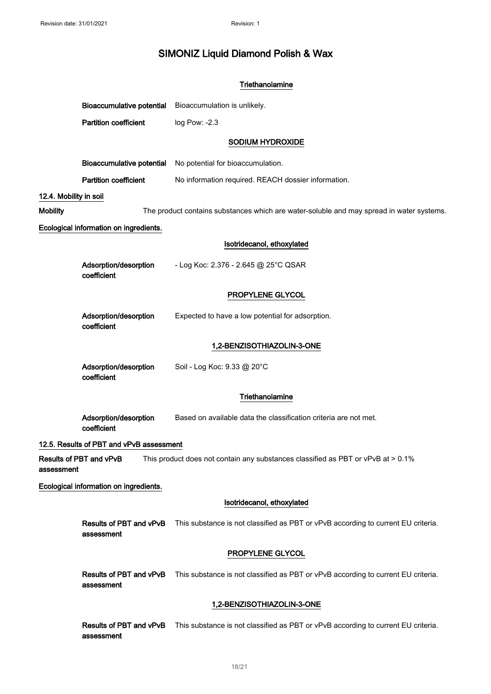|                        |                                          | Triethanolamine                                                                          |
|------------------------|------------------------------------------|------------------------------------------------------------------------------------------|
|                        | <b>Bioaccumulative potential</b>         | Bioaccumulation is unlikely.                                                             |
|                        | <b>Partition coefficient</b>             | log Pow: -2.3                                                                            |
|                        |                                          | SODIUM HYDROXIDE                                                                         |
|                        | <b>Bioaccumulative potential</b>         | No potential for bioaccumulation.                                                        |
|                        | <b>Partition coefficient</b>             | No information required. REACH dossier information.                                      |
| 12.4. Mobility in soil |                                          |                                                                                          |
| <b>Mobility</b>        |                                          | The product contains substances which are water-soluble and may spread in water systems. |
|                        | Ecological information on ingredients.   |                                                                                          |
|                        |                                          | Isotridecanol, ethoxylated                                                               |
|                        | Adsorption/desorption<br>coefficient     | - Log Koc: 2.376 - 2.645 @ 25°C QSAR                                                     |
|                        |                                          | PROPYLENE GLYCOL                                                                         |
|                        | Adsorption/desorption<br>coefficient     | Expected to have a low potential for adsorption.                                         |
|                        |                                          | 1,2-BENZISOTHIAZOLIN-3-ONE                                                               |
|                        | Adsorption/desorption<br>coefficient     | Soil - Log Koc: 9.33 @ 20°C                                                              |
|                        |                                          | Triethanolamine                                                                          |
|                        | Adsorption/desorption<br>coefficient     | Based on available data the classification criteria are not met.                         |
|                        | 12.5. Results of PBT and vPvB assessment |                                                                                          |
| assessment             | Results of PBT and vPvB                  | This product does not contain any substances classified as PBT or vPvB at > 0.1%         |
|                        | Ecological information on ingredients.   |                                                                                          |
|                        |                                          | Isotridecanol, ethoxylated                                                               |
|                        | Results of PBT and vPvB<br>assessment    | This substance is not classified as PBT or vPvB according to current EU criteria.        |
|                        |                                          | PROPYLENE GLYCOL                                                                         |
|                        | Results of PBT and vPvB<br>assessment    | This substance is not classified as PBT or vPvB according to current EU criteria.        |
|                        |                                          | 1,2-BENZISOTHIAZOLIN-3-ONE                                                               |
|                        | Results of PBT and vPvB                  | This substance is not classified as PBT or vPvB according to current EU criteria.        |

#### 18/ 21

assessment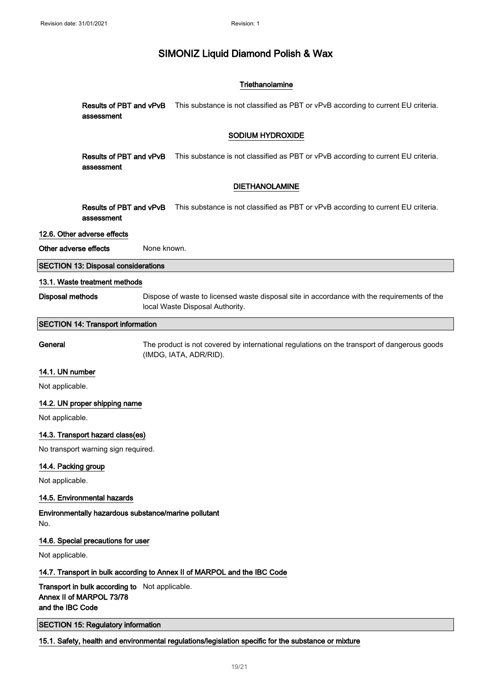#### **Triethanolamine**

Results of PBT and vPvB assessment This substance is not classified as PBT or vPvB according to current EU criteria.

#### SODIUM HYDROXIDE

Results of PBT and vPvB assessment This substance is not classified as PBT or vPvB according to current EU criteria.

#### DIETHANOLAMINE

Results of PBT and vPvB This substance is not classified as PBT or vPvB according to current EU criteria. assessment

#### 12.6. Other adverse effects

Other adverse effects None known.

SECTION 13: Disposal considerations

#### 13.1. Waste treatment methods

Disposal methods Dispose of waste to licensed waste disposal site in accordance with the requirements of the local Waste Disposal Authority.

#### SECTION 14: Transport information

General The product is not covered by international regulations on the transport of dangerous goods (IMDG, IATA, ADR/RID).

#### 14.1. UN number

Not applicable.

#### 14.2. UN proper shipping name

Not applicable.

#### 14.3. Transport hazard class(es)

No transport warning sign required.

#### 14.4. Packing group

Not applicable.

#### 14.5. Environmental hazards

Environmentally hazardous substance/marine pollutant No.

#### 14.6. Special precautions for user

Not applicable.

#### 14.7. Transport in bulk according to Annex II of MARPOL and the IBC Code

Transport in bulk according to Not applicable. Annex II of MARPOL 73/78 and the IBC Code

SECTION 15: Regulatory information

15.1. Safety, health and environmental regulations/legislation specific for the substance or mixture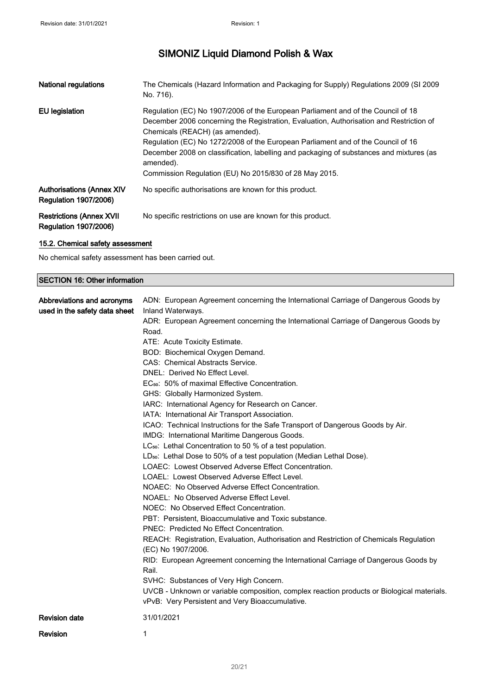| <b>National regulations</b>                                       | The Chemicals (Hazard Information and Packaging for Supply) Regulations 2009 (SI 2009<br>No. 716).                                                                                                                                                                                                                                                                                                                                                                   |
|-------------------------------------------------------------------|----------------------------------------------------------------------------------------------------------------------------------------------------------------------------------------------------------------------------------------------------------------------------------------------------------------------------------------------------------------------------------------------------------------------------------------------------------------------|
| <b>EU</b> legislation                                             | Regulation (EC) No 1907/2006 of the European Parliament and of the Council of 18<br>December 2006 concerning the Registration, Evaluation, Authorisation and Restriction of<br>Chemicals (REACH) (as amended).<br>Regulation (EC) No 1272/2008 of the European Parliament and of the Council of 16<br>December 2008 on classification, labelling and packaging of substances and mixtures (as<br>amended).<br>Commission Regulation (EU) No 2015/830 of 28 May 2015. |
| <b>Authorisations (Annex XIV)</b><br><b>Regulation 1907/2006)</b> | No specific authorisations are known for this product.                                                                                                                                                                                                                                                                                                                                                                                                               |
| <b>Restrictions (Annex XVII)</b><br><b>Regulation 1907/2006)</b>  | No specific restrictions on use are known for this product.                                                                                                                                                                                                                                                                                                                                                                                                          |

### 15.2. Chemical safety assessment

No chemical safety assessment has been carried out.

| <b>SECTION 16: Other information</b>                        |                                                                                                                                                                                                                                                                                                                                                                                                                                                                                                                                                                                                                                                                                                                                                                                                                                                                                                                                                                                                                                                                                                                                                                                                                                                                                                                                                                                                                                             |
|-------------------------------------------------------------|---------------------------------------------------------------------------------------------------------------------------------------------------------------------------------------------------------------------------------------------------------------------------------------------------------------------------------------------------------------------------------------------------------------------------------------------------------------------------------------------------------------------------------------------------------------------------------------------------------------------------------------------------------------------------------------------------------------------------------------------------------------------------------------------------------------------------------------------------------------------------------------------------------------------------------------------------------------------------------------------------------------------------------------------------------------------------------------------------------------------------------------------------------------------------------------------------------------------------------------------------------------------------------------------------------------------------------------------------------------------------------------------------------------------------------------------|
| Abbreviations and acronyms<br>used in the safety data sheet | ADN: European Agreement concerning the International Carriage of Dangerous Goods by<br>Inland Waterways.<br>ADR: European Agreement concerning the International Carriage of Dangerous Goods by<br>Road.<br>ATE: Acute Toxicity Estimate.<br>BOD: Biochemical Oxygen Demand.<br>CAS: Chemical Abstracts Service.<br>DNEL: Derived No Effect Level.<br>EC <sub>50</sub> : 50% of maximal Effective Concentration.<br>GHS: Globally Harmonized System.<br>IARC: International Agency for Research on Cancer.<br>IATA: International Air Transport Association.<br>ICAO: Technical Instructions for the Safe Transport of Dangerous Goods by Air.<br>IMDG: International Maritime Dangerous Goods.<br>LC <sub>50</sub> : Lethal Concentration to 50 % of a test population.<br>LD <sub>50</sub> : Lethal Dose to 50% of a test population (Median Lethal Dose).<br>LOAEC: Lowest Observed Adverse Effect Concentration.<br>LOAEL: Lowest Observed Adverse Effect Level.<br>NOAEC: No Observed Adverse Effect Concentration.<br>NOAEL: No Observed Adverse Effect Level.<br>NOEC: No Observed Effect Concentration.<br>PBT: Persistent, Bioaccumulative and Toxic substance.<br><b>PNEC: Predicted No Effect Concentration.</b><br>REACH: Registration, Evaluation, Authorisation and Restriction of Chemicals Regulation<br>(EC) No 1907/2006.<br>RID: European Agreement concerning the International Carriage of Dangerous Goods by<br>Rail. |
|                                                             | SVHC: Substances of Very High Concern.<br>UVCB - Unknown or variable composition, complex reaction products or Biological materials.<br>vPvB: Very Persistent and Very Bioaccumulative.                                                                                                                                                                                                                                                                                                                                                                                                                                                                                                                                                                                                                                                                                                                                                                                                                                                                                                                                                                                                                                                                                                                                                                                                                                                     |
| <b>Revision date</b>                                        | 31/01/2021                                                                                                                                                                                                                                                                                                                                                                                                                                                                                                                                                                                                                                                                                                                                                                                                                                                                                                                                                                                                                                                                                                                                                                                                                                                                                                                                                                                                                                  |
| Revision                                                    | 1                                                                                                                                                                                                                                                                                                                                                                                                                                                                                                                                                                                                                                                                                                                                                                                                                                                                                                                                                                                                                                                                                                                                                                                                                                                                                                                                                                                                                                           |